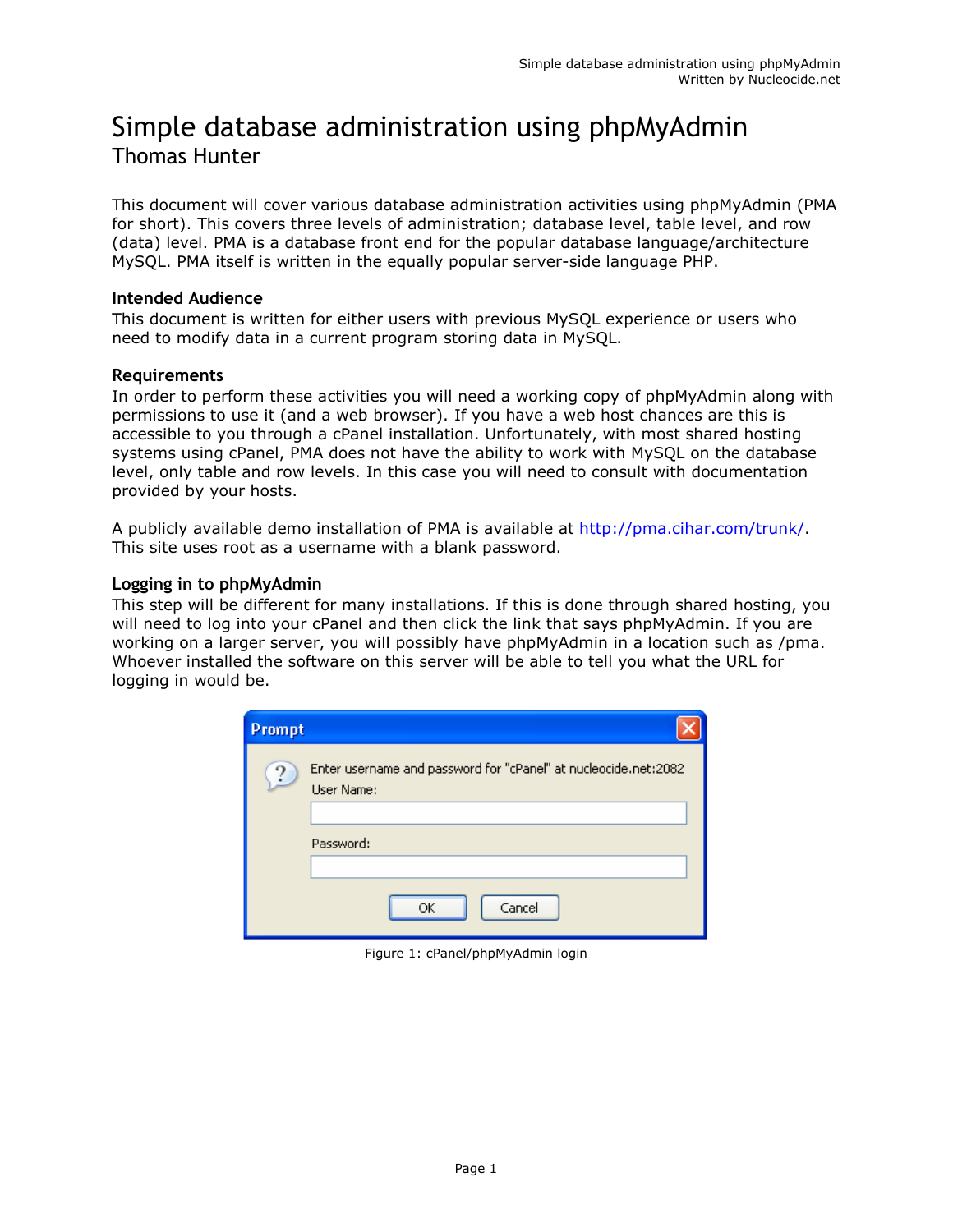# Simple database administration using phpMyAdmin Thomas Hunter

This document will cover various database administration activities using phpMyAdmin (PMA for short). This covers three levels of administration; database level, table level, and row (data) level. PMA is a database front end for the popular database language/architecture MySQL. PMA itself is written in the equally popular server-side language PHP.

## Intended Audience

This document is written for either users with previous MySQL experience or users who need to modify data in a current program storing data in MySQL.

## Requirements

In order to perform these activities you will need a working copy of phpMyAdmin along with permissions to use it (and a web browser). If you have a web host chances are this is accessible to you through a cPanel installation. Unfortunately, with most shared hosting systems using cPanel, PMA does not have the ability to work with MySQL on the database level, only table and row levels. In this case you will need to consult with documentation provided by your hosts.

A publicly available demo installation of PMA is available at http://pma.cihar.com/trunk/. This site uses root as a username with a blank password.

## Logging in to phpMyAdmin

This step will be different for many installations. If this is done through shared hosting, you will need to log into your cPanel and then click the link that says phpMyAdmin. If you are working on a larger server, you will possibly have phpMyAdmin in a location such as /pma. Whoever installed the software on this server will be able to tell you what the URL for logging in would be.

| Prompt |                                                                               |
|--------|-------------------------------------------------------------------------------|
| ↷      | Enter username and password for "cPanel" at nucleocide.net:2082<br>User Name: |
|        |                                                                               |
|        | Password:                                                                     |
|        |                                                                               |
|        | Cancel<br>ОК                                                                  |

Figure 1: cPanel/phpMyAdmin login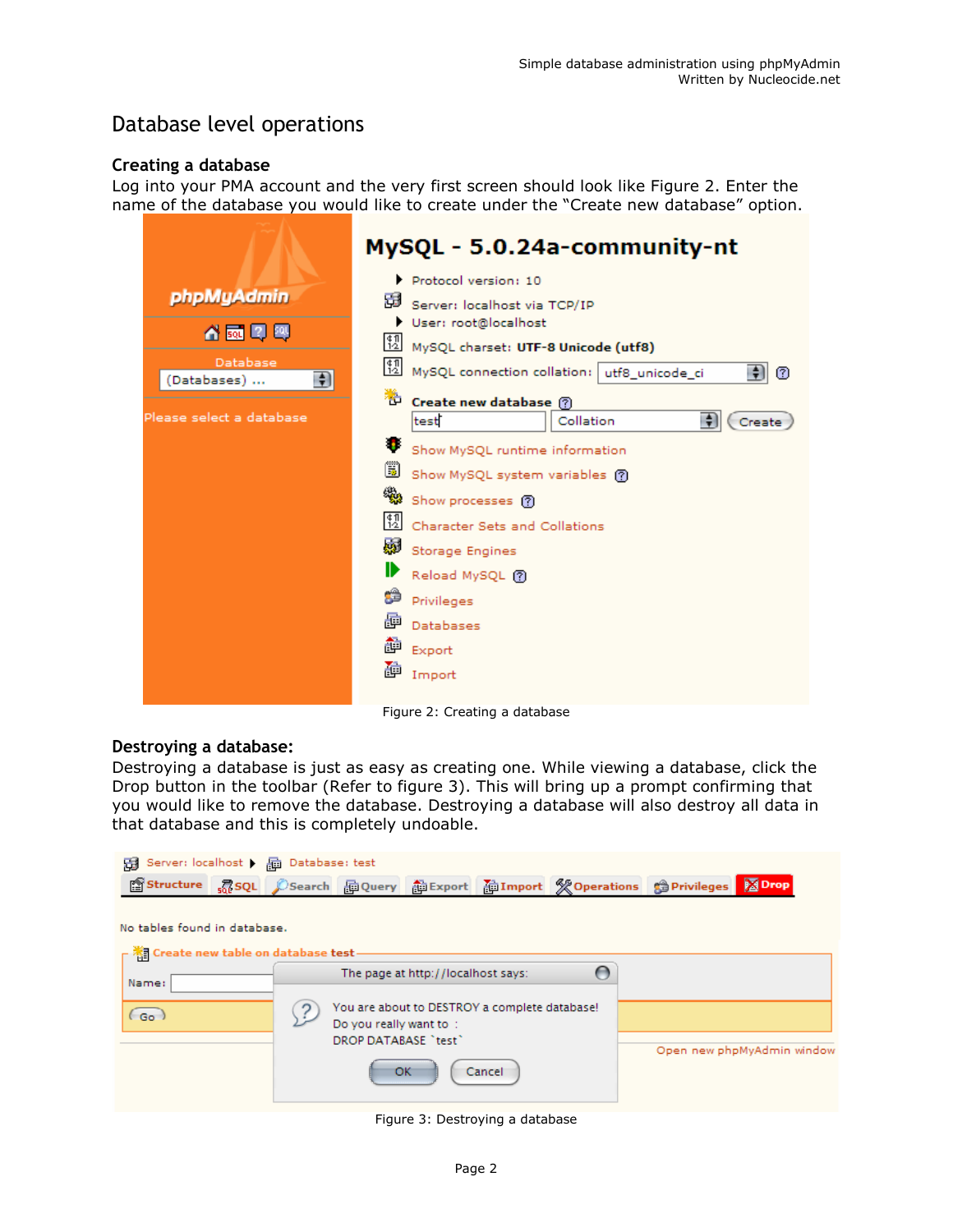## Database level operations

## Creating a database

Log into your PMA account and the very first screen should look like Figure 2. Enter the name of the database you would like to create under the "Create new database" option.

|                                       | MySQL - 5.0.24a-community-nt                                           |
|---------------------------------------|------------------------------------------------------------------------|
| phpMyAdmin                            | Protocol version: 10                                                   |
|                                       | 뎖<br>Server: localhost via TCP/IP                                      |
| 슈쿄D<br>-501                           | User: root@localhost<br>踋<br>MySQL charset: UTF-8 Unicode (utf8)       |
| Database<br>$\bigstar$<br>(Databases) | 盟<br>MySQL connection collation: utf8_unicode_ci<br>$\frac{1}{2}$<br>0 |
|                                       | Create new database ?                                                  |
| Please select a database              | $\Rightarrow$<br>test<br>Collation<br>Create                           |
|                                       | σ<br>Show MySQL runtime information                                    |
|                                       | li)<br>Show MySQL system variables (?)                                 |
|                                       | Show processes ?                                                       |
|                                       | 12 <br>Character Sets and Collations                                   |
|                                       | 感<br>Storage Engines                                                   |
|                                       | ⊪<br>Reload MySQL @                                                    |
|                                       | Ĝ<br>Privileges                                                        |
|                                       | 重<br>Databases                                                         |
|                                       | ð<br>Export                                                            |
|                                       | 重<br>Import                                                            |
|                                       |                                                                        |

Figure 2: Creating a database

## Destroying a database:

Destroying a database is just as easy as creating one. While viewing a database, click the Drop button in the toolbar (Refer to figure 3). This will bring up a prompt confirming that you would like to remove the database. Destroying a database will also destroy all data in that database and this is completely undoable.

| 图 Server: localhost ) 局 Database: test                            |                                                                                                        |        |   |                            |
|-------------------------------------------------------------------|--------------------------------------------------------------------------------------------------------|--------|---|----------------------------|
| <b>图 Structure</b>                                                | <b>Book CSearch Ho Query Ho Export Ho Import % Operations @ Privileges</b>                             |        |   | <b>Ex</b> Drop             |
|                                                                   |                                                                                                        |        |   |                            |
| No tables found in database.                                      |                                                                                                        |        |   |                            |
| $\mathsf{\Gamma}$ $\mathbb{R}$ Create new table on database test- |                                                                                                        |        |   |                            |
| Name:                                                             | The page at http://localhost says:                                                                     |        | ∩ |                            |
| Go.                                                               | You are about to DESTROY a complete database!<br>Do you really want to :<br>DROP DATABASE "test"<br>ок | Cancel |   | Open new phpMyAdmin window |

Figure 3: Destroying a database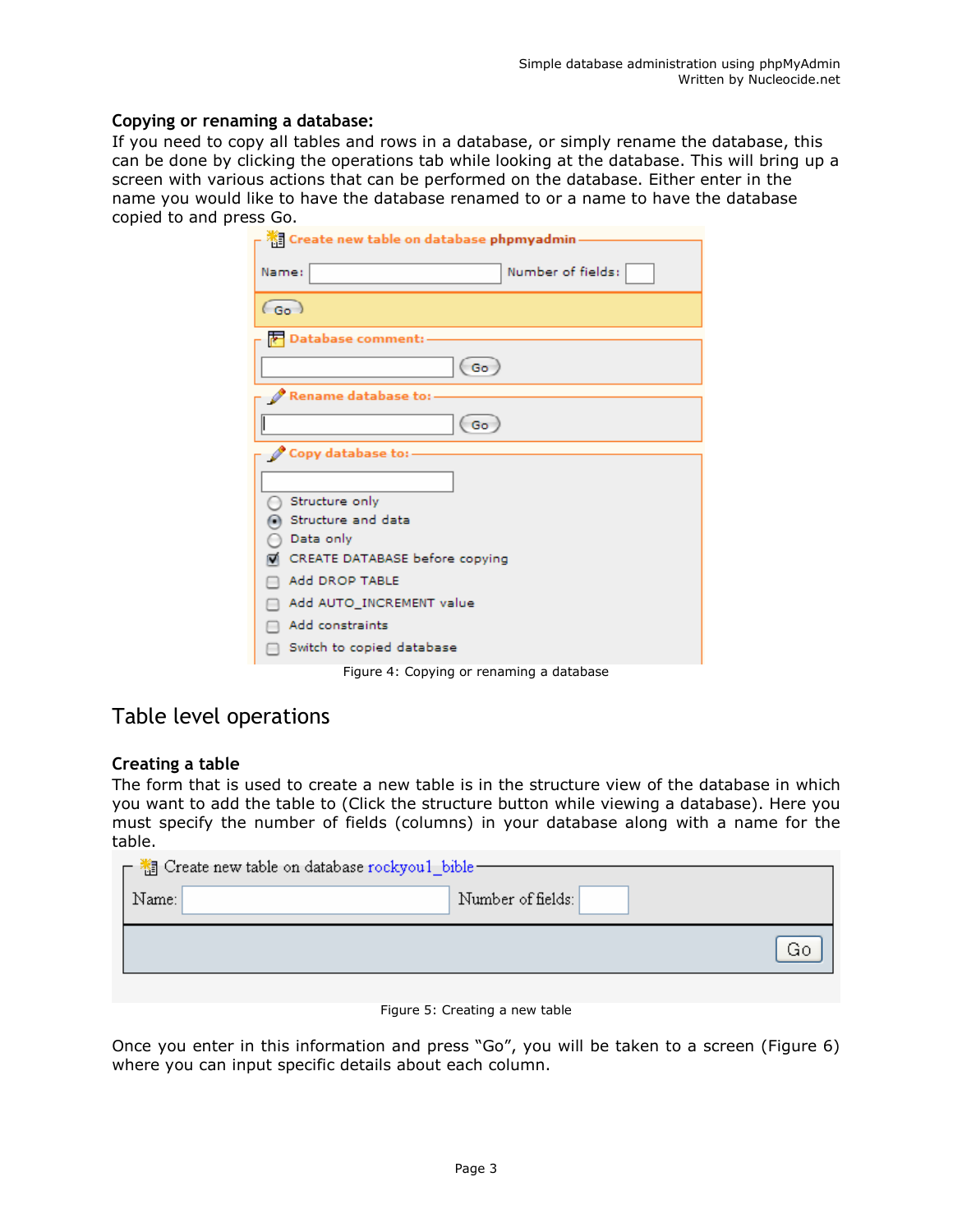## Copying or renaming a database:

If you need to copy all tables and rows in a database, or simply rename the database, this can be done by clicking the operations tab while looking at the database. This will bring up a screen with various actions that can be performed on the database. Either enter in the name you would like to have the database renamed to or a name to have the database copied to and press Go.

| <b>Ke Create new table on database phpmyadmin</b> |
|---------------------------------------------------|
| Number of fields:<br>Name:                        |
|                                                   |
| $(a_0)$                                           |
| Database comment:                                 |
| (Go                                               |
| Rename database to:                               |
| Go                                                |
| Copy database to:                                 |
|                                                   |
| Structure only                                    |
| Structure and data                                |
| Data only                                         |
| CREATE DATABASE before copying                    |
| Add DROP TABLE                                    |
| Add AUTO_INCREMENT value                          |
| Add constraints                                   |
| Switch to copied database                         |
|                                                   |

Figure 4: Copying or renaming a database

## Table level operations

## Creating a table

The form that is used to create a new table is in the structure view of the database in which you want to add the table to (Click the structure button while viewing a database). Here you must specify the number of fields (columns) in your database along with a name for the table.

| $\Gamma$ is Create new table on database rockyou1_bible = |                   |    |  |  |  |  |
|-----------------------------------------------------------|-------------------|----|--|--|--|--|
| Name:                                                     | Number of fields: |    |  |  |  |  |
|                                                           |                   | GC |  |  |  |  |
|                                                           |                   |    |  |  |  |  |

#### Figure 5: Creating a new table

Once you enter in this information and press "Go", you will be taken to a screen (Figure 6) where you can input specific details about each column.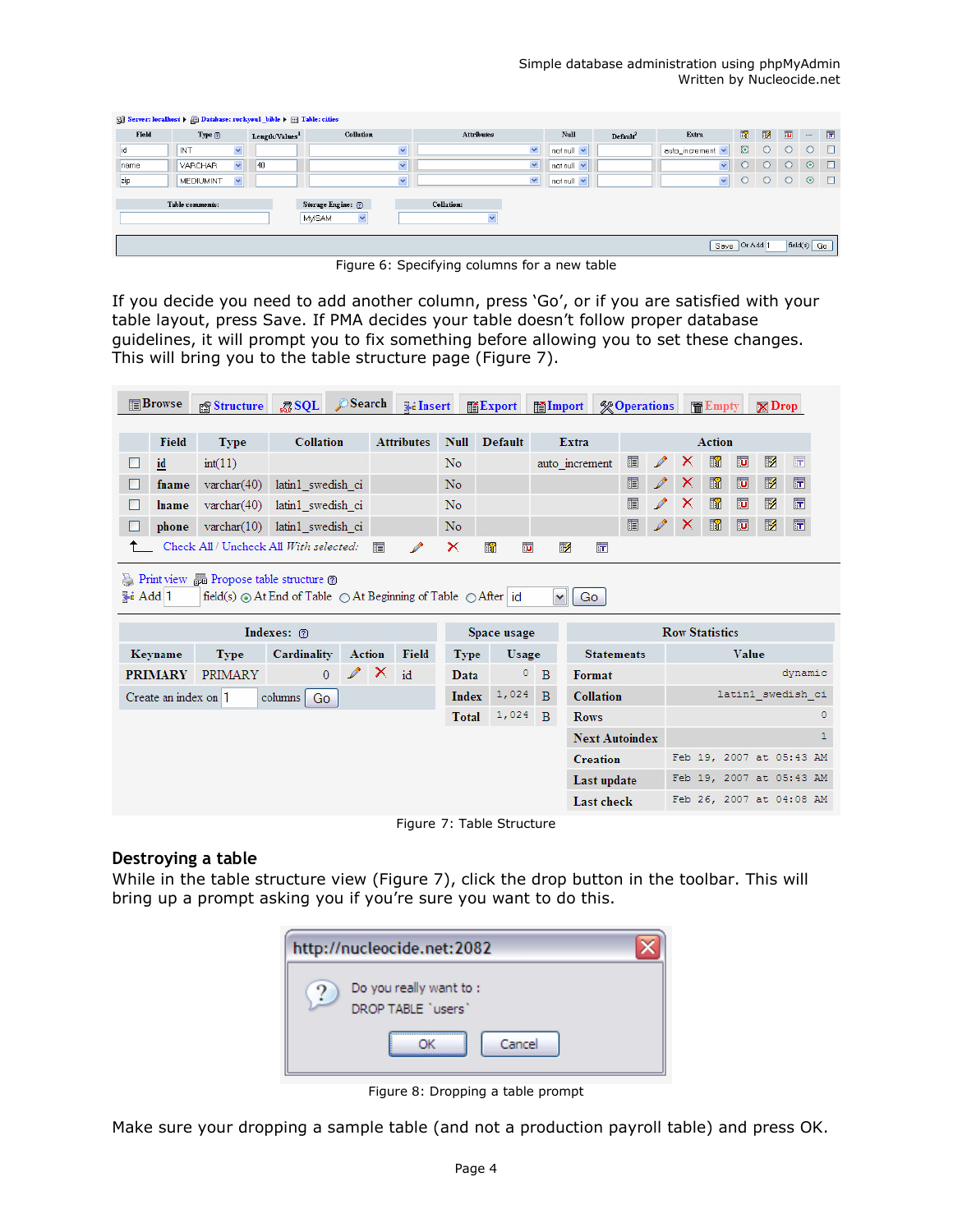| Server: localhost > and Database: rockyoul bible > iii Table: cities |                                  |                            |                                               |                      |                  |                      |                         |                |              |                |               |        |
|----------------------------------------------------------------------|----------------------------------|----------------------------|-----------------------------------------------|----------------------|------------------|----------------------|-------------------------|----------------|--------------|----------------|---------------|--------|
| Field                                                                | Type@                            | Length/Values <sup>1</sup> | Collation                                     | <b>Attributes</b>    | Null             | Default <sup>2</sup> | Extra                   | $\blacksquare$ | $\mathbb{Z}$ | $\overline{u}$ | $\sim$        | 匠      |
| ıd                                                                   | INT<br>$\checkmark$              |                            | $\mathbf{v}$                                  | $\blacktriangledown$ | $not null \vee$  |                      | auto_increment v        | $\odot$        | $\bigcirc$   |                |               | $\Box$ |
| name                                                                 | $\vee$<br><b>VARCHAR</b>         | 40                         | $\checkmark$                                  | $\vee$               | $notnull$ $\vee$ |                      | $\overline{\mathbf{v}}$ | $\circ$        | $\circ$      | $\bigcap$      | $\odot$       | $\Box$ |
| zip                                                                  | $\checkmark$<br><b>MEDIUMINT</b> |                            | $\checkmark$                                  | $\checkmark$         | not null         |                      | $\checkmark$            | $\circ$        | $\circ$      | $\circ$        | $\odot$       | $\Box$ |
|                                                                      | Table comments:                  |                            | Storage Engine: (?)<br>$\checkmark$<br>MyISAM | Collation:           |                  |                      |                         |                |              |                |               |        |
|                                                                      |                                  |                            |                                               |                      |                  |                      |                         | Save Or Add 1  |              |                | $field(s)$ Go |        |

Figure 6: Specifying columns for a new table

If you decide you need to add another column, press 'Go', or if you are satisfied with your table layout, press Save. If PMA decides your table doesn't follow proper database guidelines, it will prompt you to fix something before allowing you to set these changes. This will bring you to the table structure page (Figure 7).

|                 | <b>TEBrowse</b>      | <b>Structure</b>                                                                | RSOL              | Search                 |   | <b>Jilnsert</b>   |               | <b>語Export</b>               | <b>■Import</b>                   |                            |   | <b>% Operations</b> |   | <b>THE Empty</b>      |                         | $\boxtimes$ Drop |                          |
|-----------------|----------------------|---------------------------------------------------------------------------------|-------------------|------------------------|---|-------------------|---------------|------------------------------|----------------------------------|----------------------------|---|---------------------|---|-----------------------|-------------------------|------------------|--------------------------|
|                 | <b>Field</b>         | <b>Type</b>                                                                     | <b>Collation</b>  |                        |   | <b>Attributes</b> | <b>Null</b>   | <b>Default</b>               |                                  | Extra                      |   |                     |   | <b>Action</b>         |                         |                  |                          |
| ш               | id                   | int(11)                                                                         |                   |                        |   |                   | No            |                              |                                  | auto increment             | 膻 | $\mathscr{P}$       | × | $\blacksquare$        | $\overline{u}$          | 彨                | $\overline{\mathbf{r}}$  |
| П               | fname                | varchar $(40)$                                                                  | latin1 swedish ci |                        |   |                   | No            |                              |                                  |                            | E | $\mathscr{P}$       | × | $\blacksquare$        | $\overline{\mathbf{u}}$ | $\mathbb{Z}$     | $\overline{\mathbf{r}}$  |
| П               | lname                | $\text{varchar}(40)$                                                            | latin1 swedish ci |                        |   |                   | No            |                              |                                  |                            | 眉 | $\mathscr{P}$       | × | $\blacksquare$        | ū                       | 彨                | 匠                        |
|                 | phone                | $\text{varchar}(10)$                                                            | latin1 swedish ci |                        |   |                   | No            |                              |                                  |                            | 眉 | P                   | x | $\blacksquare$        | $\overline{\mathbf{u}}$ | $\mathbb{R}$     | $\overline{\mathbf{r}}$  |
|                 |                      | Check All / Uncheck All With selected:                                          |                   |                        | 肩 | $\mathscr{P}$     | ×             | $\overline{\mathbf{u}}$<br>R |                                  | 眵<br>靑                     |   |                     |   |                       |                         |                  |                          |
| <b>Fi</b> Add 1 |                      | field(s) $\odot$ At End of Table $\odot$ At Beginning of Table $\odot$ After id |                   |                        |   |                   |               |                              | $\checkmark$                     | Go                         |   |                     |   |                       |                         |                  |                          |
|                 |                      |                                                                                 | Indexes: 7        |                        |   |                   |               | Space usage                  |                                  |                            |   |                     |   | <b>Row Statistics</b> |                         |                  |                          |
|                 | Keyname              | <b>Type</b>                                                                     | Cardinality       | <b>Action</b>          |   | <b>Field</b>      | <b>Type</b>   | Usage                        |                                  | <b>Statements</b>          |   |                     |   |                       | Value                   |                  | dynamic                  |
|                 | <b>PRIMARY</b>       | PRIMARY                                                                         | $\overline{0}$    | $\mathscr{P}$ $\times$ |   | id                | Data<br>Index | $\circ$<br>1,024             | $\overline{B}$<br>$\overline{B}$ | Format<br><b>Collation</b> |   |                     |   |                       |                         |                  | latin1 swedish ci        |
|                 | Create an index on 1 |                                                                                 | columns Go        |                        |   |                   | <b>Total</b>  | 1,024                        | $\mathbf{B}$                     | <b>Rows</b>                |   |                     |   |                       |                         |                  | $\circ$                  |
|                 |                      |                                                                                 |                   |                        |   |                   |               |                              |                                  | <b>Next Autoindex</b>      |   |                     |   |                       |                         |                  | 1                        |
|                 |                      |                                                                                 |                   |                        |   |                   |               |                              |                                  | <b>Creation</b>            |   |                     |   |                       |                         |                  | Feb 19, 2007 at 05:43 AM |
|                 |                      |                                                                                 |                   |                        |   |                   |               |                              |                                  | Last update                |   |                     |   |                       |                         |                  | Feb 19, 2007 at 05:43 AM |

Figure 7: Table Structure

## Destroying a table

While in the table structure view (Figure 7), click the drop button in the toolbar. This will bring up a prompt asking you if you're sure you want to do this.



Figure 8: Dropping a table prompt

Make sure your dropping a sample table (and not a production payroll table) and press OK.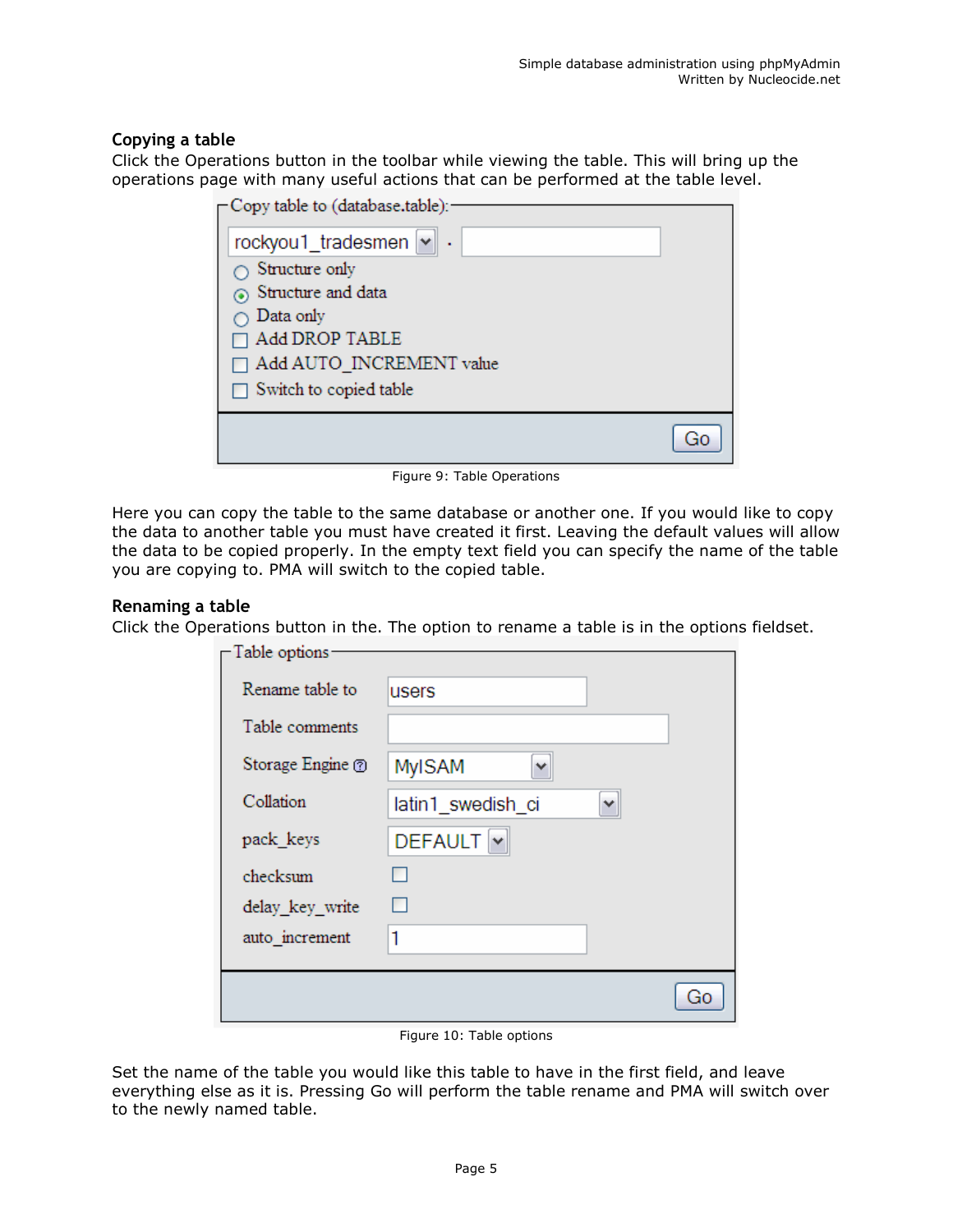## Copying a table

Click the Operations button in the toolbar while viewing the table. This will bring up the operations page with many useful actions that can be performed at the table level.

| ⊢Copy table to (database.table): |  |
|----------------------------------|--|
| rockyou1_tradesmen v             |  |
| Structure only                   |  |
| Structure and data               |  |
| Data only                        |  |
| Add DROP TABLE                   |  |
| $\Box$ Add AUTO INCREMENT value  |  |
| $\Box$ Switch to copied table    |  |
|                                  |  |

Figure 9: Table Operations

Here you can copy the table to the same database or another one. If you would like to copy the data to another table you must have created it first. Leaving the default values will allow the data to be copied properly. In the empty text field you can specify the name of the table you are copying to. PMA will switch to the copied table.

## Renaming a table

Click the Operations button in the. The option to rename a table is in the options fieldset.

| -Table options-  |                                   |
|------------------|-----------------------------------|
| Rename table to  | users                             |
| Table comments   |                                   |
| Storage Engine ? | <b>MyISAM</b><br>٧                |
| Collation        | latin1_swedish_ci<br>v            |
| pack_keys        | DEFAULT Y                         |
| checksum         |                                   |
| delay_key_write  | ш                                 |
| auto_increment   | 1                                 |
|                  |                                   |
|                  | $\overline{\mathrm{G}}\mathrm{C}$ |
|                  |                                   |

Figure 10: Table options

Set the name of the table you would like this table to have in the first field, and leave everything else as it is. Pressing Go will perform the table rename and PMA will switch over to the newly named table.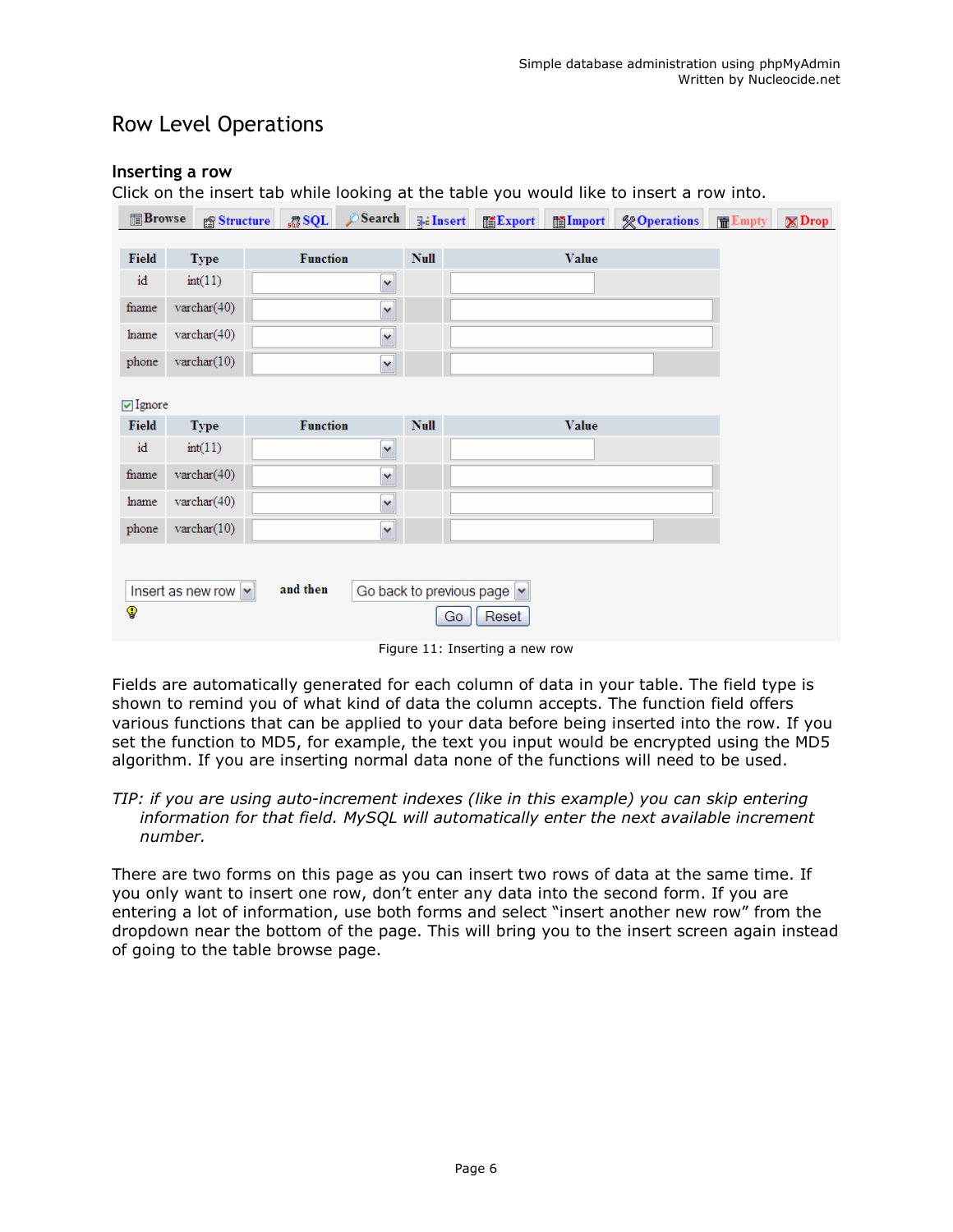## Row Level Operations

## Inserting a row

Click on the insert tab while looking at the table you would like to insert a row into.

| <b>Browse</b>   | Structure                            | $_{50}$ SQL     | Search               | <b>E</b> ilnsert | Export                      | <b>Import</b> | <b><i>S</i></b> Operations | Empty | $\boxtimes$ Drop |
|-----------------|--------------------------------------|-----------------|----------------------|------------------|-----------------------------|---------------|----------------------------|-------|------------------|
| <b>Field</b>    | <b>Type</b>                          | <b>Function</b> |                      | <b>Null</b>      |                             | <b>Value</b>  |                            |       |                  |
| id              | int(11)                              |                 | $\blacktriangledown$ |                  |                             |               |                            |       |                  |
| fname           | varchar $(40)$                       |                 | Y                    |                  |                             |               |                            |       |                  |
| hame            | $\text{varchar}(40)$                 |                 | Y                    |                  |                             |               |                            |       |                  |
| phone           | $\text{varchar}(10)$                 |                 | $\checkmark$         |                  |                             |               |                            |       |                  |
| <b>⊡</b> Ignore |                                      |                 |                      |                  |                             |               |                            |       |                  |
| <b>Field</b>    | <b>Type</b>                          | <b>Function</b> |                      | <b>Null</b>      |                             | Value         |                            |       |                  |
| id              | int(11)                              |                 | $\checkmark$         |                  |                             |               |                            |       |                  |
| fname           | varchar $(40)$                       |                 | Y                    |                  |                             |               |                            |       |                  |
| lname           | $\text{varchar}(40)$                 |                 | Y                    |                  |                             |               |                            |       |                  |
| phone           | $\text{varchar}(10)$                 |                 | $\blacktriangledown$ |                  |                             |               |                            |       |                  |
|                 |                                      |                 |                      |                  |                             |               |                            |       |                  |
|                 | Insert as new row $\  \mathbf{v} \ $ | and then        |                      |                  | Go back to previous page  v |               |                            |       |                  |
| 9               |                                      |                 |                      |                  | Reset<br>Go                 |               |                            |       |                  |

Figure 11: Inserting a new row

Fields are automatically generated for each column of data in your table. The field type is shown to remind you of what kind of data the column accepts. The function field offers various functions that can be applied to your data before being inserted into the row. If you set the function to MD5, for example, the text you input would be encrypted using the MD5 algorithm. If you are inserting normal data none of the functions will need to be used.

TIP: if you are using auto-increment indexes (like in this example) you can skip entering information for that field. MySQL will automatically enter the next available increment number.

There are two forms on this page as you can insert two rows of data at the same time. If you only want to insert one row, don't enter any data into the second form. If you are entering a lot of information, use both forms and select "insert another new row" from the dropdown near the bottom of the page. This will bring you to the insert screen again instead of going to the table browse page.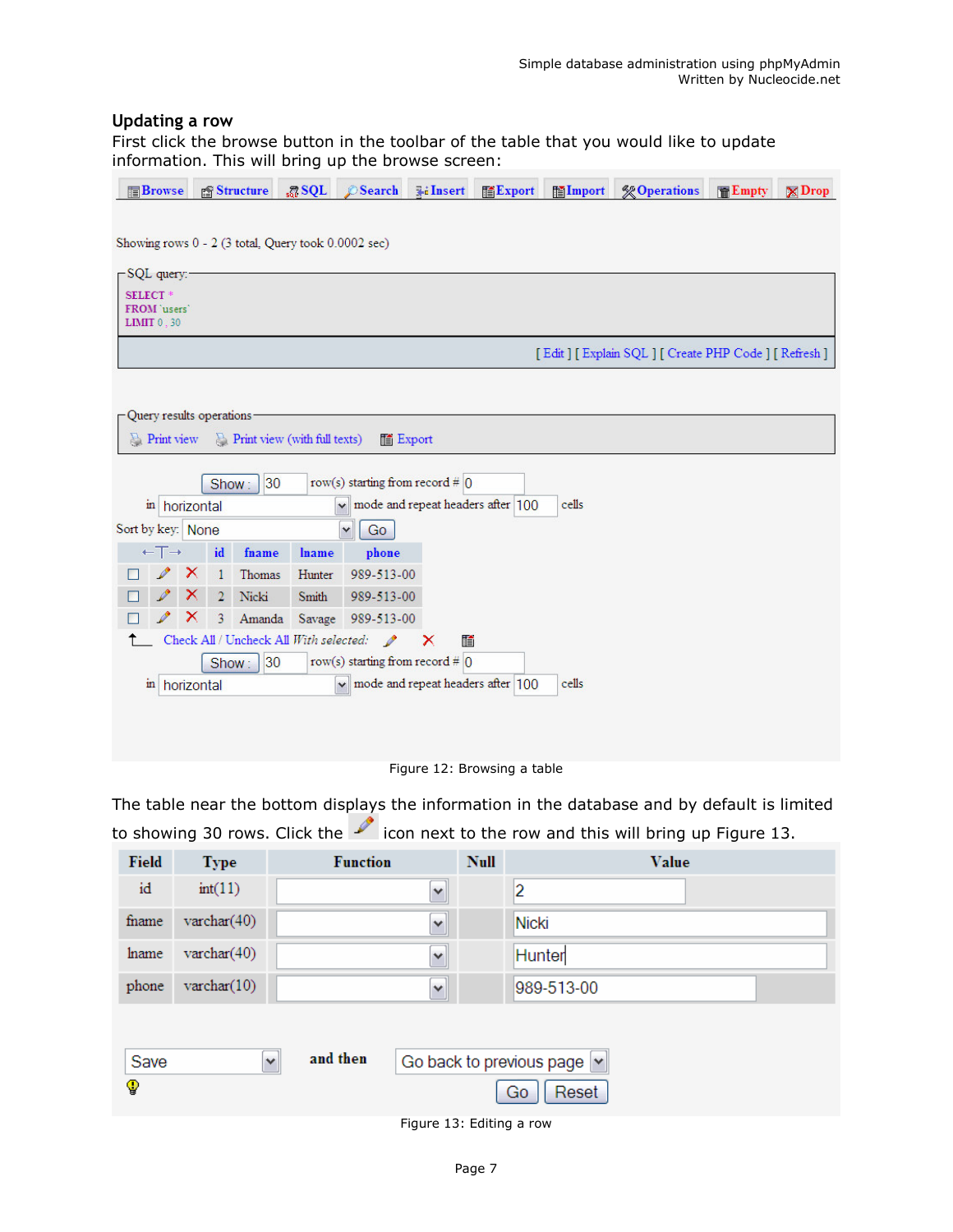### Updating a row

First click the browse button in the toolbar of the table that you would like to update information. This will bring up the browse screen:

| <b>Browse</b>                |                                                     |              | <b>Structure</b>             | $\sqrt{3}$ SQL | Search                                    | <b>Filnsert</b> | <b>語Export</b>                                     | <b>Hilmport</b> | <b>% Operations</b>                              | <b>F</b> E Empty | $\mathbb{Z}$ Drop |
|------------------------------|-----------------------------------------------------|--------------|------------------------------|----------------|-------------------------------------------|-----------------|----------------------------------------------------|-----------------|--------------------------------------------------|------------------|-------------------|
|                              |                                                     |              |                              |                |                                           |                 |                                                    |                 |                                                  |                  |                   |
|                              | Showing rows 0 - 2 (3 total, Query took 0.0002 sec) |              |                              |                |                                           |                 |                                                    |                 |                                                  |                  |                   |
| -SQL query:-                 |                                                     |              |                              |                |                                           |                 |                                                    |                 |                                                  |                  |                   |
| <b>SELECT*</b><br>FROM users |                                                     |              |                              |                |                                           |                 |                                                    |                 |                                                  |                  |                   |
| <b>LIMIT 0.30</b>            |                                                     |              |                              |                |                                           |                 |                                                    |                 |                                                  |                  |                   |
|                              |                                                     |              |                              |                |                                           |                 |                                                    |                 | [Edit] [Explain SQL] [Create PHP Code] [Refresh] |                  |                   |
|                              |                                                     |              |                              |                |                                           |                 |                                                    |                 |                                                  |                  |                   |
| Query results operations.    |                                                     |              |                              |                |                                           |                 |                                                    |                 |                                                  |                  |                   |
| $\sum$ Print view            |                                                     |              | Print view (with full texts) |                | liii Export                               |                 |                                                    |                 |                                                  |                  |                   |
|                              |                                                     |              |                              |                |                                           |                 |                                                    |                 |                                                  |                  |                   |
|                              |                                                     | Show:        | 30                           |                | row(s) starting from record # $\vert$ 0   |                 |                                                    |                 |                                                  |                  |                   |
|                              | in horizontal                                       |              |                              |                | $\checkmark$                              |                 | mode and repeat headers after 100                  | cells           |                                                  |                  |                   |
| Sort by key: None            |                                                     |              |                              |                | Go<br>v                                   |                 |                                                    |                 |                                                  |                  |                   |
| $\leftarrow$ T $\rightarrow$ |                                                     | id           | fname                        | <b>lname</b>   | phone                                     |                 |                                                    |                 |                                                  |                  |                   |
|                              | ×                                                   | $\mathbf{1}$ | Thomas                       | Hunter         | 989-513-00                                |                 |                                                    |                 |                                                  |                  |                   |
|                              | X                                                   |              | 2 Nicki                      | Smith          | 989-513-00                                |                 |                                                    |                 |                                                  |                  |                   |
|                              | ×                                                   | 3            | Amanda                       | Savage         | 989-513-00                                |                 |                                                    |                 |                                                  |                  |                   |
|                              |                                                     |              |                              |                | Check All / Uncheck All With selected:    | ×<br>酳          |                                                    |                 |                                                  |                  |                   |
|                              |                                                     |              | 30 <br>Show:                 |                | row(s) starting from record # $ 0\rangle$ |                 |                                                    |                 |                                                  |                  |                   |
| in                           | horizontal                                          |              |                              |                |                                           |                 | $\vee$ mode and repeat headers after $ 100\rangle$ | cells           |                                                  |                  |                   |
|                              |                                                     |              |                              |                |                                           |                 |                                                    |                 |                                                  |                  |                   |
|                              |                                                     |              |                              |                |                                           |                 |                                                    |                 |                                                  |                  |                   |
|                              |                                                     |              |                              |                |                                           |                 |                                                    |                 |                                                  |                  |                   |

Figure 12: Browsing a table

The table near the bottom displays the information in the database and by default is limited to showing 30 rows. Click the  $\sim$  icon next to the row and this will bring up Figure 13.

| <b>Field</b> | <b>Type</b>    | <b>Function</b>          |              | <b>Null</b> | Value                                               |
|--------------|----------------|--------------------------|--------------|-------------|-----------------------------------------------------|
| id           | int(11)        |                          | $\checkmark$ |             | 2                                                   |
| fname        | varchar $(40)$ |                          | $\checkmark$ |             | Nicki                                               |
| hame         | varchar $(40)$ |                          | $\checkmark$ |             | Hunter                                              |
| phone        | varchar $(10)$ |                          | $\checkmark$ |             | 989-513-00                                          |
| Save<br>9    |                | and then<br>$\checkmark$ |              |             | Go back to previous page $ {\bf v} $<br>Reset<br>Go |

Figure 13: Editing a row